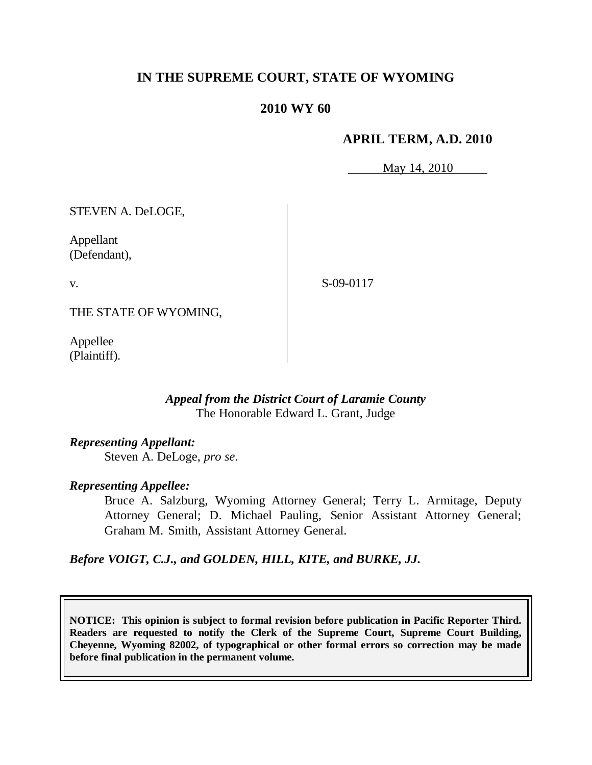# **IN THE SUPREME COURT, STATE OF WYOMING**

# **2010 WY 60**

### **APRIL TERM, A.D. 2010**

May 14, 2010

STEVEN A. DeLOGE,

Appellant (Defendant),

v.

S-09-0117

THE STATE OF WYOMING,

Appellee (Plaintiff).

## *Appeal from the District Court of Laramie County* The Honorable Edward L. Grant, Judge

*Representing Appellant:* Steven A. DeLoge, *pro se*.

#### *Representing Appellee:*

Bruce A. Salzburg, Wyoming Attorney General; Terry L. Armitage, Deputy Attorney General; D. Michael Pauling, Senior Assistant Attorney General; Graham M. Smith, Assistant Attorney General.

# *Before VOIGT, C.J., and GOLDEN, HILL, KITE, and BURKE, JJ.*

**NOTICE: This opinion is subject to formal revision before publication in Pacific Reporter Third. Readers are requested to notify the Clerk of the Supreme Court, Supreme Court Building, Cheyenne, Wyoming 82002, of typographical or other formal errors so correction may be made before final publication in the permanent volume.**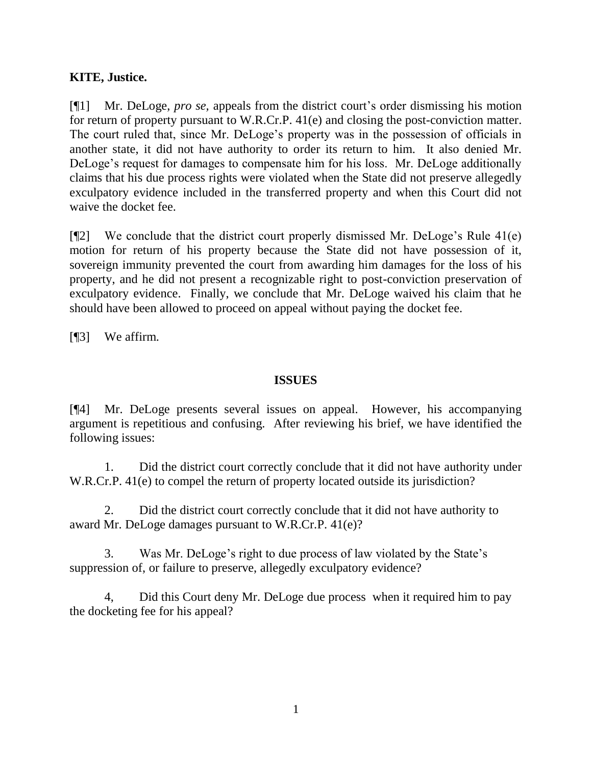# **KITE, Justice.**

[¶1] Mr. DeLoge, *pro se,* appeals from the district court"s order dismissing his motion for return of property pursuant to W.R.Cr.P. 41(e) and closing the post-conviction matter. The court ruled that, since Mr. DeLoge's property was in the possession of officials in another state, it did not have authority to order its return to him. It also denied Mr. DeLoge's request for damages to compensate him for his loss. Mr. DeLoge additionally claims that his due process rights were violated when the State did not preserve allegedly exculpatory evidence included in the transferred property and when this Court did not waive the docket fee.

[¶2] We conclude that the district court properly dismissed Mr. DeLoge"s Rule 41(e) motion for return of his property because the State did not have possession of it, sovereign immunity prevented the court from awarding him damages for the loss of his property, and he did not present a recognizable right to post-conviction preservation of exculpatory evidence. Finally, we conclude that Mr. DeLoge waived his claim that he should have been allowed to proceed on appeal without paying the docket fee.

[¶3] We affirm.

## **ISSUES**

[¶4] Mr. DeLoge presents several issues on appeal. However, his accompanying argument is repetitious and confusing. After reviewing his brief, we have identified the following issues:

1. Did the district court correctly conclude that it did not have authority under W.R.Cr.P. 41(e) to compel the return of property located outside its jurisdiction?

2. Did the district court correctly conclude that it did not have authority to award Mr. DeLoge damages pursuant to W.R.Cr.P. 41(e)?

3. Was Mr. DeLoge"s right to due process of law violated by the State"s suppression of, or failure to preserve, allegedly exculpatory evidence?

4, Did this Court deny Mr. DeLoge due process when it required him to pay the docketing fee for his appeal?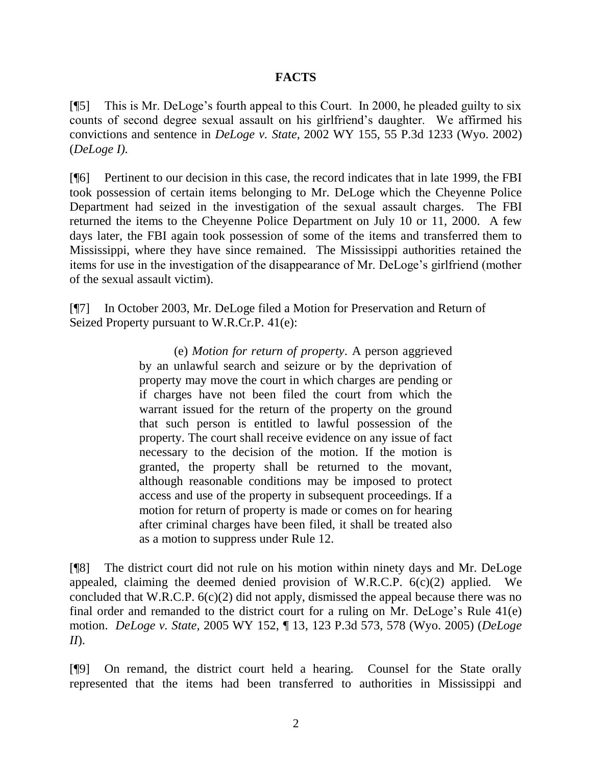# **FACTS**

[¶5] This is Mr. DeLoge"s fourth appeal to this Court. In 2000, he pleaded guilty to six counts of second degree sexual assault on his girlfriend"s daughter. We affirmed his convictions and sentence in *DeLoge v. State,* 2002 WY 155, 55 P.3d 1233 (Wyo. 2002) (*DeLoge I).* 

[¶6] Pertinent to our decision in this case, the record indicates that in late 1999, the FBI took possession of certain items belonging to Mr. DeLoge which the Cheyenne Police Department had seized in the investigation of the sexual assault charges. The FBI returned the items to the Cheyenne Police Department on July 10 or 11, 2000. A few days later, the FBI again took possession of some of the items and transferred them to Mississippi, where they have since remained. The Mississippi authorities retained the items for use in the investigation of the disappearance of Mr. DeLoge"s girlfriend (mother of the sexual assault victim).

[¶7] In October 2003, Mr. DeLoge filed a Motion for Preservation and Return of Seized Property pursuant to W.R.Cr.P. 41(e):

> (e) *Motion for return of property*. A person aggrieved by an unlawful search and seizure or by the deprivation of property may move the court in which charges are pending or if charges have not been filed the court from which the warrant issued for the return of the property on the ground that such person is entitled to lawful possession of the property. The court shall receive evidence on any issue of fact necessary to the decision of the motion. If the motion is granted, the property shall be returned to the movant, although reasonable conditions may be imposed to protect access and use of the property in subsequent proceedings. If a motion for return of property is made or comes on for hearing after criminal charges have been filed, it shall be treated also as a motion to suppress under Rule 12.

[¶8] The district court did not rule on his motion within ninety days and Mr. DeLoge appealed, claiming the deemed denied provision of W.R.C.P. 6(c)(2) applied. We concluded that W.R.C.P. 6(c)(2) did not apply, dismissed the appeal because there was no final order and remanded to the district court for a ruling on Mr. DeLoge"s Rule 41(e) motion. *DeLoge v. State,* 2005 WY 152, ¶ 13, 123 P.3d 573, 578 (Wyo. 2005) (*DeLoge II*).

[¶9] On remand, the district court held a hearing. Counsel for the State orally represented that the items had been transferred to authorities in Mississippi and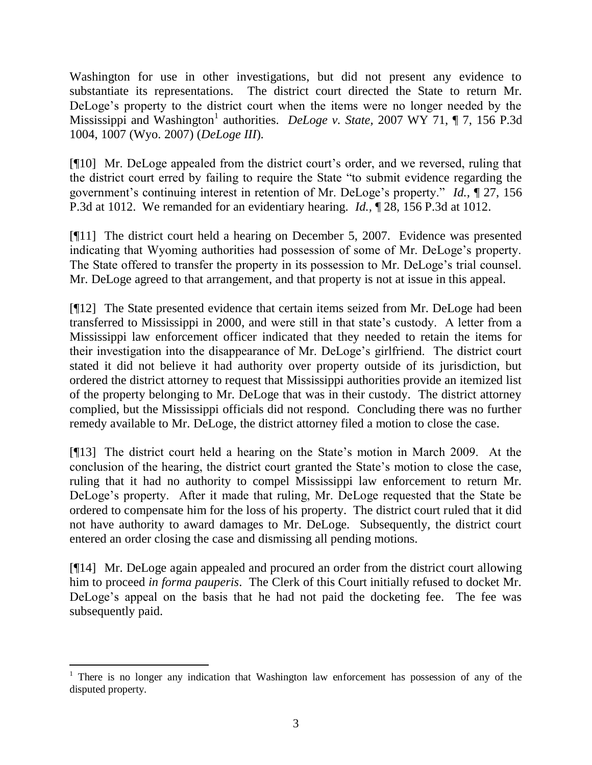Washington for use in other investigations, but did not present any evidence to substantiate its representations. The district court directed the State to return Mr. DeLoge's property to the district court when the items were no longer needed by the Mississippi and Washington 1 authorities. *DeLoge v. State,* 2007 WY 71, ¶ 7, 156 P.3d 1004, 1007 (Wyo. 2007) (*DeLoge III*).

[¶10] Mr. DeLoge appealed from the district court"s order, and we reversed, ruling that the district court erred by failing to require the State "to submit evidence regarding the government"s continuing interest in retention of Mr. DeLoge"s property." *Id.,* ¶ 27, 156 P.3d at 1012. We remanded for an evidentiary hearing. *Id.,* ¶ 28, 156 P.3d at 1012.

[¶11] The district court held a hearing on December 5, 2007. Evidence was presented indicating that Wyoming authorities had possession of some of Mr. DeLoge"s property. The State offered to transfer the property in its possession to Mr. DeLoge"s trial counsel. Mr. DeLoge agreed to that arrangement, and that property is not at issue in this appeal.

[¶12] The State presented evidence that certain items seized from Mr. DeLoge had been transferred to Mississippi in 2000, and were still in that state"s custody. A letter from a Mississippi law enforcement officer indicated that they needed to retain the items for their investigation into the disappearance of Mr. DeLoge"s girlfriend. The district court stated it did not believe it had authority over property outside of its jurisdiction, but ordered the district attorney to request that Mississippi authorities provide an itemized list of the property belonging to Mr. DeLoge that was in their custody. The district attorney complied, but the Mississippi officials did not respond. Concluding there was no further remedy available to Mr. DeLoge, the district attorney filed a motion to close the case.

[¶13] The district court held a hearing on the State"s motion in March 2009. At the conclusion of the hearing, the district court granted the State"s motion to close the case, ruling that it had no authority to compel Mississippi law enforcement to return Mr. DeLoge"s property. After it made that ruling, Mr. DeLoge requested that the State be ordered to compensate him for the loss of his property. The district court ruled that it did not have authority to award damages to Mr. DeLoge. Subsequently, the district court entered an order closing the case and dismissing all pending motions.

[¶14] Mr. DeLoge again appealed and procured an order from the district court allowing him to proceed *in forma pauperis*. The Clerk of this Court initially refused to docket Mr. DeLoge's appeal on the basis that he had not paid the docketing fee. The fee was subsequently paid.

 $\overline{a}$ 

 $1$  There is no longer any indication that Washington law enforcement has possession of any of the disputed property.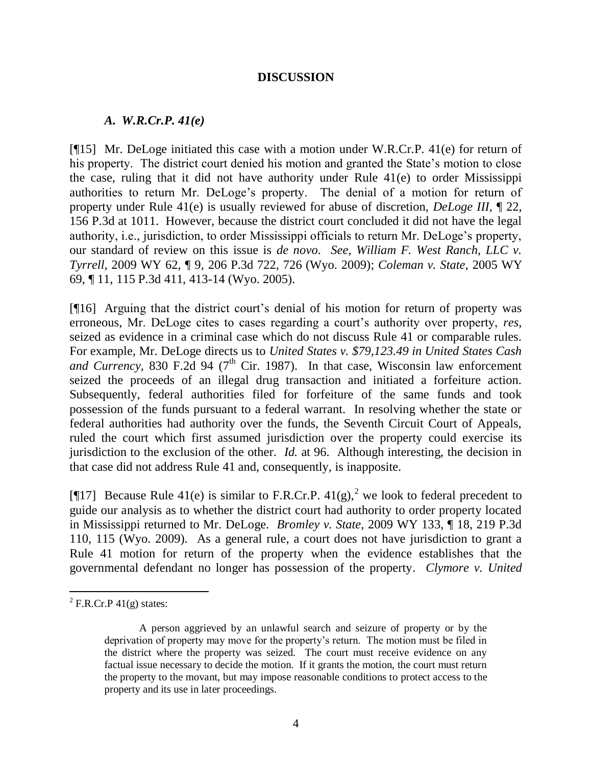#### **DISCUSSION**

#### *A. W.R.Cr.P. 41(e)*

[¶15] Mr. DeLoge initiated this case with a motion under W.R.Cr.P. 41(e) for return of his property. The district court denied his motion and granted the State's motion to close the case, ruling that it did not have authority under Rule 41(e) to order Mississippi authorities to return Mr. DeLoge"s property. The denial of a motion for return of property under Rule 41(e) is usually reviewed for abuse of discretion, *DeLoge III,* ¶ 22, 156 P.3d at 1011. However, because the district court concluded it did not have the legal authority, i.e., jurisdiction, to order Mississippi officials to return Mr. DeLoge"s property, our standard of review on this issue is *de novo*. *See, William F. West Ranch, LLC v. Tyrrell,* 2009 WY 62, ¶ 9, 206 P.3d 722, 726 (Wyo. 2009); *Coleman v. State,* 2005 WY 69, ¶ 11, 115 P.3d 411, 413-14 (Wyo. 2005).

[¶16] Arguing that the district court's denial of his motion for return of property was erroneous, Mr. DeLoge cites to cases regarding a court's authority over property, *res*, seized as evidence in a criminal case which do not discuss Rule 41 or comparable rules. For example, Mr. DeLoge directs us to *United States v. \$79,123.49 in United States Cash and Currency*, 830 F.2d 94 ( $7<sup>th</sup>$  Cir. 1987). In that case, Wisconsin law enforcement seized the proceeds of an illegal drug transaction and initiated a forfeiture action. Subsequently, federal authorities filed for forfeiture of the same funds and took possession of the funds pursuant to a federal warrant. In resolving whether the state or federal authorities had authority over the funds, the Seventh Circuit Court of Appeals, ruled the court which first assumed jurisdiction over the property could exercise its jurisdiction to the exclusion of the other. *Id.* at 96. Although interesting, the decision in that case did not address Rule 41 and, consequently, is inapposite.

[ $[$ [17] Because Rule 41(e) is similar to F.R.Cr.P. 41(g),<sup>2</sup> we look to federal precedent to guide our analysis as to whether the district court had authority to order property located in Mississippi returned to Mr. DeLoge. *Bromley v. State,* 2009 WY 133, ¶ 18, 219 P.3d 110, 115 (Wyo. 2009). As a general rule, a court does not have jurisdiction to grant a Rule 41 motion for return of the property when the evidence establishes that the governmental defendant no longer has possession of the property. *Clymore v. United* 

 $\overline{a}$ 

 $2$  F.R.Cr.P 41(g) states:

A person aggrieved by an unlawful search and seizure of property or by the deprivation of property may move for the property"s return. The motion must be filed in the district where the property was seized. The court must receive evidence on any factual issue necessary to decide the motion. If it grants the motion, the court must return the property to the movant, but may impose reasonable conditions to protect access to the property and its use in later proceedings.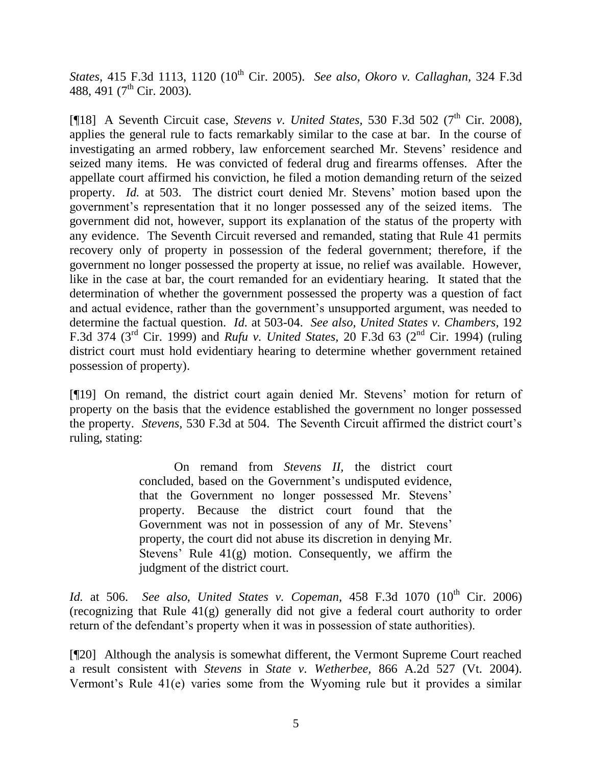*States,* 415 F.3d 1113, 1120 (10<sup>th</sup> Cir. 2005). *See also, Okoro v. Callaghan,* 324 F.3d 488, 491 (7<sup>th</sup> Cir. 2003).

[¶18] A Seventh Circuit case, *Stevens v. United States*, 530 F.3d 502 (7<sup>th</sup> Cir. 2008), applies the general rule to facts remarkably similar to the case at bar. In the course of investigating an armed robbery, law enforcement searched Mr. Stevens' residence and seized many items. He was convicted of federal drug and firearms offenses. After the appellate court affirmed his conviction, he filed a motion demanding return of the seized property. *Id.* at 503. The district court denied Mr. Stevens' motion based upon the government"s representation that it no longer possessed any of the seized items. The government did not, however, support its explanation of the status of the property with any evidence. The Seventh Circuit reversed and remanded, stating that Rule 41 permits recovery only of property in possession of the federal government; therefore, if the government no longer possessed the property at issue, no relief was available. However, like in the case at bar, the court remanded for an evidentiary hearing. It stated that the determination of whether the government possessed the property was a question of fact and actual evidence, rather than the government's unsupported argument, was needed to determine the factual question. *Id.* at 503-04. *See also*, *United States v. Chambers*, 192 F.3d 374 (3rd Cir. 1999) and *Rufu v. United States,* 20 F.3d 63 (2nd Cir. 1994) (ruling district court must hold evidentiary hearing to determine whether government retained possession of property).

[¶19] On remand, the district court again denied Mr. Stevens" motion for return of property on the basis that the evidence established the government no longer possessed the property. *Stevens*, 530 F.3d at 504. The Seventh Circuit affirmed the district court's ruling, stating:

> On remand from *Stevens II,* the district court concluded, based on the Government's undisputed evidence, that the Government no longer possessed Mr. Stevens" property. Because the district court found that the Government was not in possession of any of Mr. Stevens' property, the court did not abuse its discretion in denying Mr. Stevens' Rule  $41(g)$  motion. Consequently, we affirm the judgment of the district court.

*Id.* at 506. *See also, United States v. Copeman,* 458 F.3d 1070 (10<sup>th</sup> Cir. 2006) (recognizing that Rule 41(g) generally did not give a federal court authority to order return of the defendant's property when it was in possession of state authorities).

[¶20] Although the analysis is somewhat different, the Vermont Supreme Court reached a result consistent with *Stevens* in *State v. Wetherbee,* 866 A.2d 527 (Vt. 2004). Vermont"s Rule 41(e) varies some from the Wyoming rule but it provides a similar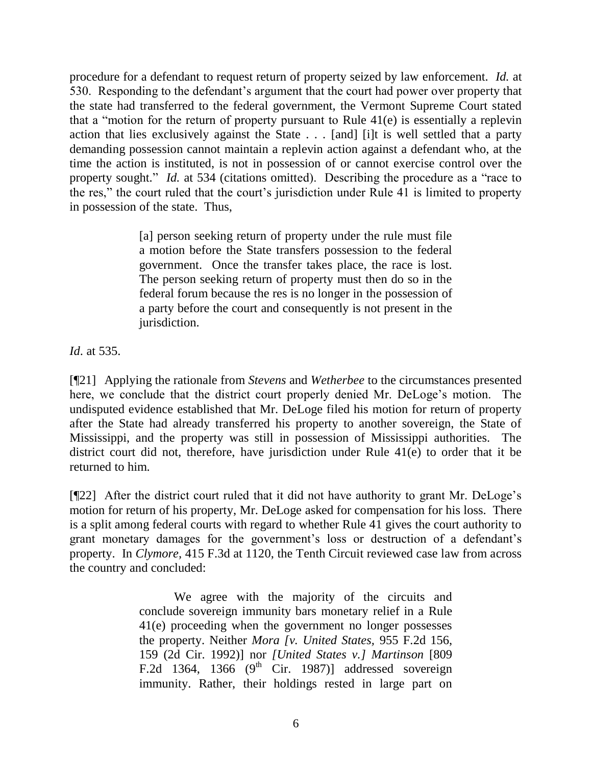procedure for a defendant to request return of property seized by law enforcement. *Id.* at 530. Responding to the defendant"s argument that the court had power over property that the state had transferred to the federal government, the Vermont Supreme Court stated that a "motion for the return of property pursuant to Rule 41(e) is essentially a replevin action that lies exclusively against the State . . . [and] [i]t is well settled that a party demanding possession cannot maintain a replevin action against a defendant who, at the time the action is instituted, is not in possession of or cannot exercise control over the property sought." *Id.* at 534 (citations omitted). Describing the procedure as a "race to the res," the court ruled that the court's jurisdiction under Rule  $\overline{41}$  is limited to property in possession of the state. Thus,

> [a] person seeking return of property under the rule must file a motion before the State transfers possession to the federal government. Once the transfer takes place, the race is lost. The person seeking return of property must then do so in the federal forum because the res is no longer in the possession of a party before the court and consequently is not present in the jurisdiction.

*Id*. at 535.

[¶21] Applying the rationale from *Stevens* and *Wetherbee* to the circumstances presented here, we conclude that the district court properly denied Mr. DeLoge's motion. The undisputed evidence established that Mr. DeLoge filed his motion for return of property after the State had already transferred his property to another sovereign, the State of Mississippi, and the property was still in possession of Mississippi authorities. The district court did not, therefore, have jurisdiction under Rule 41(e) to order that it be returned to him.

[¶22] After the district court ruled that it did not have authority to grant Mr. DeLoge"s motion for return of his property, Mr. DeLoge asked for compensation for his loss. There is a split among federal courts with regard to whether Rule 41 gives the court authority to grant monetary damages for the government's loss or destruction of a defendant's property. In *Clymore,* 415 F.3d at 1120, the Tenth Circuit reviewed case law from across the country and concluded:

> We agree with the majority of the circuits and conclude sovereign immunity bars monetary relief in a Rule 41(e) proceeding when the government no longer possesses the property. Neither *Mora [v. United States,* 955 F.2d 156, 159 (2d Cir. 1992)] nor *[United States v.] [Martinson](http://www.westlaw.com/Find/Default.wl?rs=dfa1.0&vr=2.0&FindType=Y&SerialNum=1987013674)* [809 F.2d 1364, 1366  $(9<sup>th</sup>$  Cir. 1987)] addressed sovereign immunity. Rather, their holdings rested in large part on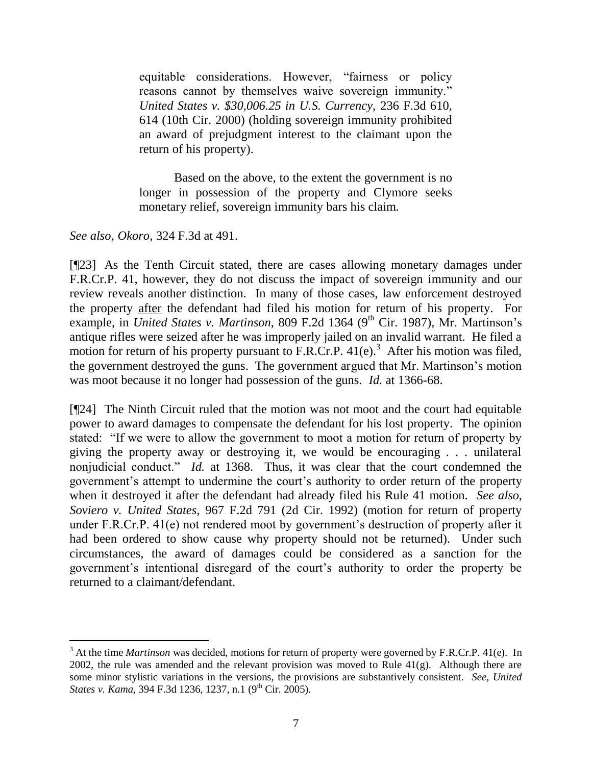equitable considerations. However, "fairness or policy reasons cannot by themselves waive sovereign immunity." *[United States v. \\$30,006.25 in U.S. Currency,](http://www.westlaw.com/Find/Default.wl?rs=dfa1.0&vr=2.0&DB=506&FindType=Y&ReferencePositionType=S&SerialNum=2000657931&ReferencePosition=614)* [236 F.3d 610,](http://www.westlaw.com/Find/Default.wl?rs=dfa1.0&vr=2.0&DB=506&FindType=Y&ReferencePositionType=S&SerialNum=2000657931&ReferencePosition=614)  614 (10th Cir. 2000) (holding sovereign immunity prohibited an award of prejudgment interest to the claimant upon the return of his property).

Based on the above, to the extent the government is no longer in possession of the property and Clymore seeks monetary relief, sovereign immunity bars his claim.

*See also*, *Okoro,* 324 F.3d at 491.

 $\overline{a}$ 

[¶23] As the Tenth Circuit stated, there are cases allowing monetary damages under F.R.Cr.P. 41, however, they do not discuss the impact of sovereign immunity and our review reveals another distinction. In many of those cases, law enforcement destroyed the property after the defendant had filed his motion for return of his property. For example, in *United States v. Martinson*, 809 F.2d 1364 (9<sup>th</sup> Cir. 1987), Mr. Martinson's antique rifles were seized after he was improperly jailed on an invalid warrant. He filed a motion for return of his property pursuant to F.R.Cr.P.  $41(e)$ .<sup>3</sup> After his motion was filed, the government destroyed the guns. The government argued that Mr. Martinson"s motion was moot because it no longer had possession of the guns. *Id.* at 1366-68.

[¶24] The Ninth Circuit ruled that the motion was not moot and the court had equitable power to award damages to compensate the defendant for his lost property. The opinion stated: "If we were to allow the government to moot a motion for return of property by giving the property away or destroying it, we would be encouraging . . . unilateral nonjudicial conduct." *Id.* at 1368. Thus, it was clear that the court condemned the government's attempt to undermine the court's authority to order return of the property when it destroyed it after the defendant had already filed his Rule 41 motion. *See also*, *Soviero v. United States,* 967 F.2d 791 (2d Cir. 1992) (motion for return of property under F.R.Cr.P. 41(e) not rendered moot by government's destruction of property after it had been ordered to show cause why property should not be returned). Under such circumstances, the award of damages could be considered as a sanction for the government"s intentional disregard of the court"s authority to order the property be returned to a claimant/defendant.

<sup>3</sup> At the time *Martinson* was decided, motions for return of property were governed by F.R.Cr.P. 41(e). In 2002, the rule was amended and the relevant provision was moved to Rule  $41(g)$ . Although there are some minor stylistic variations in the versions, the provisions are substantively consistent. *See*, *United States v. Kama,* 394 F.3d 1236, 1237, n.1 (9<sup>th</sup> Cir. 2005).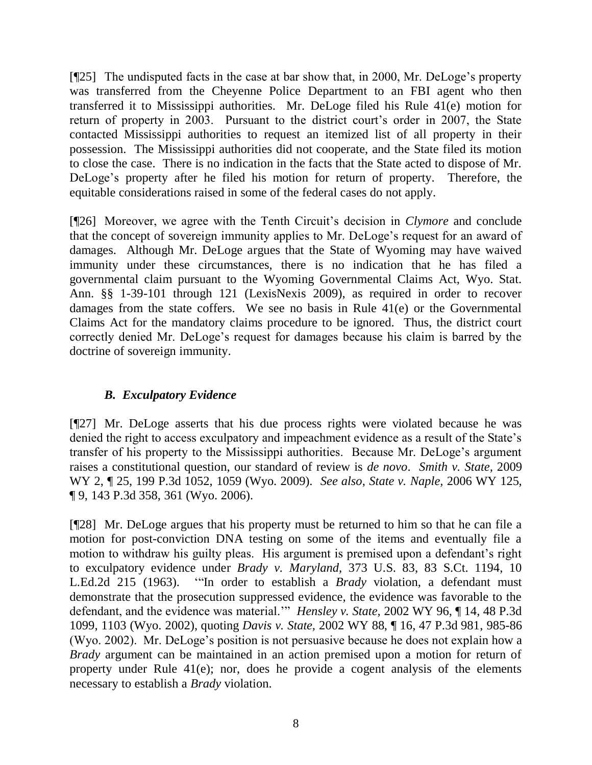[¶25] The undisputed facts in the case at bar show that, in 2000, Mr. DeLoge"s property was transferred from the Cheyenne Police Department to an FBI agent who then transferred it to Mississippi authorities. Mr. DeLoge filed his Rule 41(e) motion for return of property in 2003. Pursuant to the district court's order in 2007, the State contacted Mississippi authorities to request an itemized list of all property in their possession. The Mississippi authorities did not cooperate, and the State filed its motion to close the case. There is no indication in the facts that the State acted to dispose of Mr. DeLoge's property after he filed his motion for return of property. Therefore, the equitable considerations raised in some of the federal cases do not apply.

[¶26] Moreover, we agree with the Tenth Circuit"s decision in *Clymore* and conclude that the concept of sovereign immunity applies to Mr. DeLoge"s request for an award of damages. Although Mr. DeLoge argues that the State of Wyoming may have waived immunity under these circumstances, there is no indication that he has filed a governmental claim pursuant to the Wyoming Governmental Claims Act, Wyo. Stat. Ann. §§ 1-39-101 through 121 (LexisNexis 2009), as required in order to recover damages from the state coffers. We see no basis in Rule 41(e) or the Governmental Claims Act for the mandatory claims procedure to be ignored. Thus, the district court correctly denied Mr. DeLoge"s request for damages because his claim is barred by the doctrine of sovereign immunity.

# *B. Exculpatory Evidence*

[¶27] Mr. DeLoge asserts that his due process rights were violated because he was denied the right to access exculpatory and impeachment evidence as a result of the State's transfer of his property to the Mississippi authorities. Because Mr. DeLoge"s argument raises a constitutional question, our standard of review is *de novo*. *Smith v. State,* 2009 WY 2, ¶ 25, 199 P.3d 1052, 1059 (Wyo. 2009). *See also*, *State v. Naple,* 2006 WY 125, ¶ 9, 143 P.3d 358, 361 (Wyo. 2006).

[¶28] Mr. DeLoge argues that his property must be returned to him so that he can file a motion for post-conviction DNA testing on some of the items and eventually file a motion to withdraw his guilty pleas. His argument is premised upon a defendant's right to exculpatory evidence under *Brady v. Maryland,* 373 U.S. 83, 83 S.Ct. 1194, 10 L.Ed.2d 215 (1963). ""In order to establish a *Brady* violation, a defendant must demonstrate that the prosecution suppressed evidence, the evidence was favorable to the defendant, and the evidence was material."" *Hensley v. State,* 2002 WY 96, ¶ 14, 48 P.3d 1099, 1103 (Wyo. 2002), quoting *Davis v. State,* [2002 WY 88, ¶ 16, 47 P.3d 981,](http://www.westlaw.com/Find/Default.wl?rs=dfa1.0&vr=2.0&DB=4645&FindType=Y&SerialNum=2002366034) 985-86 (Wyo. 2002). Mr. DeLoge"s position is not persuasive because he does not explain how a *Brady* argument can be maintained in an action premised upon a motion for return of property under Rule 41(e); nor, does he provide a cogent analysis of the elements necessary to establish a *Brady* violation.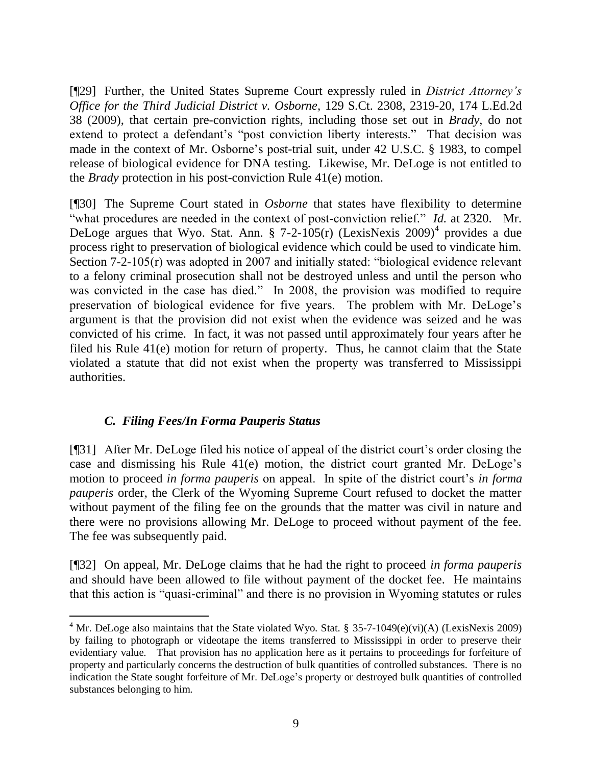[¶29] Further, the United States Supreme Court expressly ruled in *District Attorney's Office for the Third Judicial District v. Osborne,* 129 S.Ct. 2308, 2319-20, 174 L.Ed.2d 38 (2009), that certain pre-conviction rights, including those set out in *Brady,* do not extend to protect a defendant's "post conviction liberty interests." That decision was made in the context of Mr. Osborne's post-trial suit, under 42 U.S.C. § 1983, to compel release of biological evidence for DNA testing. Likewise, Mr. DeLoge is not entitled to the *Brady* protection in his post-conviction Rule 41(e) motion.

[¶30] The Supreme Court stated in *Osborne* that states have flexibility to determine "what procedures are needed in the context of post-conviction relief." *Id.* at 2320. Mr. DeLoge argues that Wyo. Stat. Ann. § 7-2-105(r) (LexisNexis 2009)<sup>4</sup> provides a due process right to preservation of biological evidence which could be used to vindicate him. Section 7-2-105(r) was adopted in 2007 and initially stated: "biological evidence relevant to a felony criminal prosecution shall not be destroyed unless and until the person who was convicted in the case has died." In 2008, the provision was modified to require preservation of biological evidence for five years. The problem with Mr. DeLoge"s argument is that the provision did not exist when the evidence was seized and he was convicted of his crime. In fact, it was not passed until approximately four years after he filed his Rule 41(e) motion for return of property. Thus, he cannot claim that the State violated a statute that did not exist when the property was transferred to Mississippi authorities.

# *C. Filing Fees/In Forma Pauperis Status*

[¶31] After Mr. DeLoge filed his notice of appeal of the district court"s order closing the case and dismissing his Rule 41(e) motion, the district court granted Mr. DeLoge"s motion to proceed *in forma pauperis* on appeal. In spite of the district court's *in forma pauperis* order, the Clerk of the Wyoming Supreme Court refused to docket the matter without payment of the filing fee on the grounds that the matter was civil in nature and there were no provisions allowing Mr. DeLoge to proceed without payment of the fee. The fee was subsequently paid.

[¶32] On appeal, Mr. DeLoge claims that he had the right to proceed *in forma pauperis* and should have been allowed to file without payment of the docket fee. He maintains that this action is "quasi-criminal" and there is no provision in Wyoming statutes or rules

 $\overline{a}$ <sup>4</sup> Mr. DeLoge also maintains that the State violated Wyo. Stat. § 35-7-1049(e)(vi)(A) (LexisNexis 2009) by failing to photograph or videotape the items transferred to Mississippi in order to preserve their evidentiary value. That provision has no application here as it pertains to proceedings for forfeiture of property and particularly concerns the destruction of bulk quantities of controlled substances. There is no indication the State sought forfeiture of Mr. DeLoge"s property or destroyed bulk quantities of controlled substances belonging to him.